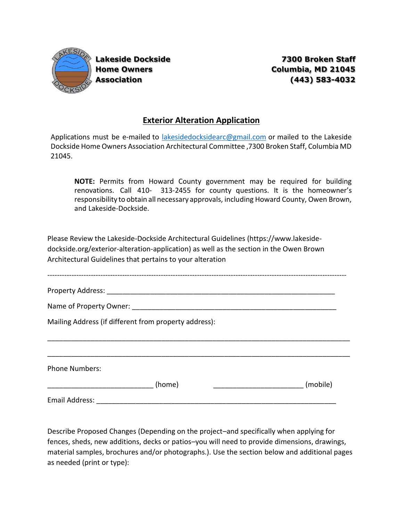

**Lakeside Dockside 7300 Broken Staff Home Owners Columbia, MD 21045 Association (443) 583-4032**

## **Exterior Alteration Application**

Applications must be e-mailed to [lakesidedocksidearc@gmail.com](mailto:lakesidedocksidearc@gmail.com) or mailed to the Lakeside Dockside Home Owners Association Architectural Committee ,7300 Broken Staff, Columbia MD 21045.

**NOTE:** Permits from Howard County government may be required for building renovations. Call 410- 313-2455 for county questions. It is the homeowner's responsibility to obtain all necessary approvals, including Howard County, Owen Brown, and Lakeside-Dockside.

Please Review the Lakeside-Dockside Architectural Guidelines (https://www.lakesidedockside.org/exterior-alteration-application) as well as the section in the Owen Brown Architectural Guidelines that pertains to your alteration

\_\_\_\_\_\_\_\_\_\_\_\_\_\_\_\_\_\_\_\_\_\_\_\_\_\_\_\_\_\_\_\_\_\_\_\_\_\_\_\_\_\_\_\_\_\_\_\_\_\_\_\_\_\_\_\_\_\_\_\_\_\_\_\_\_\_\_\_\_\_\_\_\_\_\_\_\_

Property Address: \_\_\_\_\_\_\_\_\_\_\_\_\_\_\_\_\_\_\_\_\_\_\_\_\_\_\_\_\_\_\_\_\_\_\_\_\_\_\_\_\_\_\_\_\_\_\_\_\_\_\_\_\_\_\_\_\_\_

Name of Property Owner: which is a set of  $\mathcal{L}$  is a set of  $\mathcal{L}$  is a set of  $\mathcal{L}$  is a set of  $\mathcal{L}$ 

Mailing Address (if different from property address):

\_\_\_\_\_\_\_\_\_\_\_\_\_\_\_\_\_\_\_\_\_\_\_\_\_\_\_\_\_\_\_\_\_\_\_\_\_\_\_\_\_\_\_\_\_\_\_\_\_\_\_\_\_\_\_\_\_\_\_\_\_\_\_\_\_\_\_\_\_\_\_\_\_\_\_\_\_ Phone Numbers: \_\_\_\_\_\_\_\_\_\_\_\_\_\_\_\_\_\_\_\_\_\_\_\_\_\_\_ (home) \_\_\_\_\_\_\_\_\_\_\_\_\_\_\_\_\_\_\_\_\_\_\_ (mobile) Email Address: **Email Address:**  $\overline{a}$ 

Describe Proposed Changes (Depending on the project–and specifically when applying for fences, sheds, new additions, decks or patios–you will need to provide dimensions, drawings, material samples, brochures and/or photographs.). Use the section below and additional pages as needed (print or type):